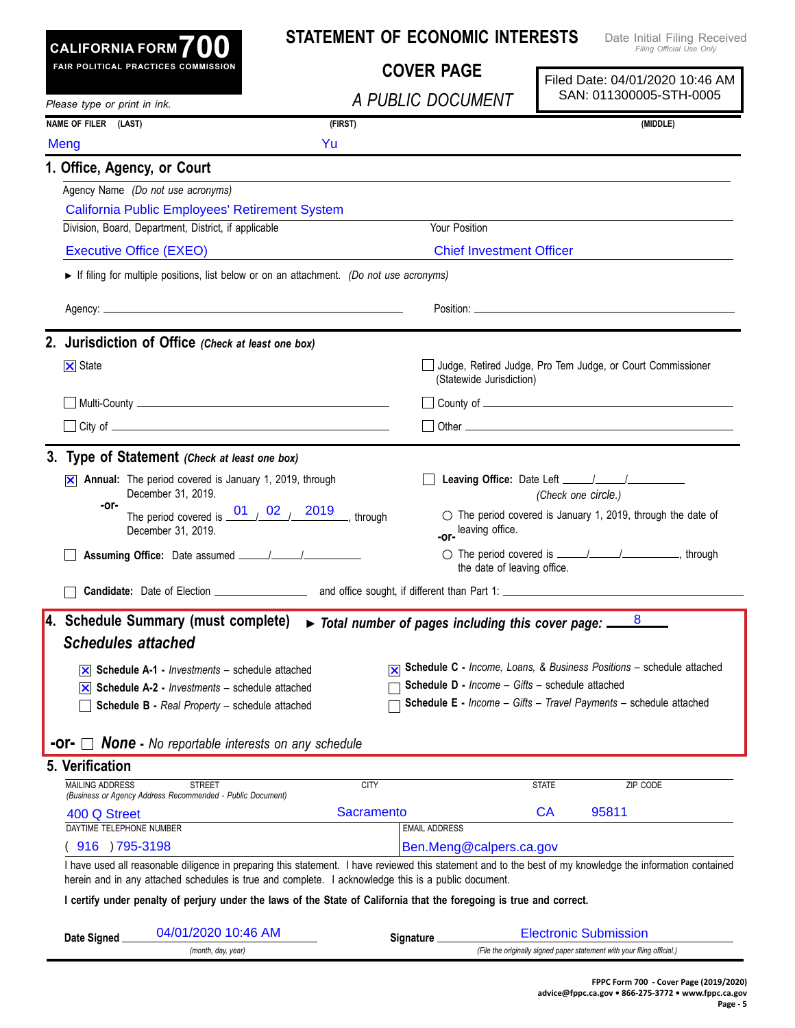| <b>CALIFORNIA FORM 70</b>                                                                                                                                                                                                   |                                                         | <b>STATEMENT OF ECONOMIC INTERESTS</b>                                    |                                                 |                                 | Date Initial Filing Received<br>Filing Official Use Only                                                                                                                                                                      |  |
|-----------------------------------------------------------------------------------------------------------------------------------------------------------------------------------------------------------------------------|---------------------------------------------------------|---------------------------------------------------------------------------|-------------------------------------------------|---------------------------------|-------------------------------------------------------------------------------------------------------------------------------------------------------------------------------------------------------------------------------|--|
| FAIR POLITICAL PRACTICES COMMISSION                                                                                                                                                                                         |                                                         | <b>COVER PAGE</b>                                                         |                                                 | Filed Date: 04/01/2020 10:46 AM |                                                                                                                                                                                                                               |  |
| Please type or print in ink.                                                                                                                                                                                                |                                                         | A PUBLIC DOCUMENT                                                         |                                                 |                                 | SAN: 011300005-STH-0005                                                                                                                                                                                                       |  |
| NAME OF FILER (LAST)                                                                                                                                                                                                        |                                                         | (FIRST)                                                                   |                                                 | (MIDDLE)                        |                                                                                                                                                                                                                               |  |
| Meng                                                                                                                                                                                                                        | Yu                                                      |                                                                           |                                                 |                                 |                                                                                                                                                                                                                               |  |
| 1. Office, Agency, or Court                                                                                                                                                                                                 |                                                         |                                                                           |                                                 |                                 |                                                                                                                                                                                                                               |  |
| Agency Name (Do not use acronyms)                                                                                                                                                                                           |                                                         |                                                                           |                                                 |                                 |                                                                                                                                                                                                                               |  |
| California Public Employees' Retirement System                                                                                                                                                                              |                                                         |                                                                           |                                                 |                                 |                                                                                                                                                                                                                               |  |
| Division, Board, Department, District, if applicable                                                                                                                                                                        |                                                         | Your Position                                                             |                                                 |                                 |                                                                                                                                                                                                                               |  |
| <b>Executive Office (EXEO)</b>                                                                                                                                                                                              |                                                         |                                                                           | <b>Chief Investment Officer</b>                 |                                 |                                                                                                                                                                                                                               |  |
| If filing for multiple positions, list below or on an attachment. (Do not use acronyms)                                                                                                                                     |                                                         |                                                                           |                                                 |                                 |                                                                                                                                                                                                                               |  |
|                                                                                                                                                                                                                             |                                                         |                                                                           |                                                 |                                 | Position: the contract of the contract of the contract of the contract of the contract of the contract of the contract of the contract of the contract of the contract of the contract of the contract of the contract of the |  |
| 2. Jurisdiction of Office (Check at least one box)                                                                                                                                                                          |                                                         |                                                                           |                                                 |                                 |                                                                                                                                                                                                                               |  |
| $\overline{\mathsf{x}}$ State                                                                                                                                                                                               |                                                         |                                                                           | (Statewide Jurisdiction)                        |                                 | Judge, Retired Judge, Pro Tem Judge, or Court Commissioner                                                                                                                                                                    |  |
|                                                                                                                                                                                                                             |                                                         |                                                                           |                                                 |                                 |                                                                                                                                                                                                                               |  |
|                                                                                                                                                                                                                             |                                                         |                                                                           |                                                 |                                 |                                                                                                                                                                                                                               |  |
| 3. Type of Statement (Check at least one box)                                                                                                                                                                               |                                                         |                                                                           |                                                 |                                 |                                                                                                                                                                                                                               |  |
| Annual: The period covered is January 1, 2019, through<br>IХI<br>December 31, 2019.                                                                                                                                         |                                                         |                                                                           |                                                 | (Check one circle.)             |                                                                                                                                                                                                                               |  |
| -or-<br>December 31, 2019.                                                                                                                                                                                                  | The period covered is $\frac{01}{2}$ 02 / 2019, through | -or-                                                                      | leaving office.                                 |                                 | $\circlearrowright$ The period covered is January 1, 2019, through the date of                                                                                                                                                |  |
|                                                                                                                                                                                                                             |                                                         |                                                                           | the date of leaving office.                     |                                 | ○ The period covered is <u>_____/_____/</u> _________________, through                                                                                                                                                        |  |
|                                                                                                                                                                                                                             |                                                         |                                                                           |                                                 |                                 |                                                                                                                                                                                                                               |  |
| 4. Schedule Summary (must complete)                                                                                                                                                                                         |                                                         | $\triangleright$ Total number of pages including this cover page: $\perp$ |                                                 |                                 |                                                                                                                                                                                                                               |  |
| <b>Schedules attached</b>                                                                                                                                                                                                   |                                                         |                                                                           |                                                 |                                 |                                                                                                                                                                                                                               |  |
| $\overline{\mathsf{x}}$ Schedule A-1 - <i>Investments</i> – schedule attached                                                                                                                                               |                                                         |                                                                           |                                                 |                                 | Schedule C - Income, Loans, & Business Positions - schedule attached                                                                                                                                                          |  |
| <b>Schedule A-2 - Investments – schedule attached</b><br>IХI                                                                                                                                                                |                                                         |                                                                           | Schedule D - Income - Gifts - schedule attached |                                 |                                                                                                                                                                                                                               |  |
| Schedule B - Real Property - schedule attached                                                                                                                                                                              |                                                         |                                                                           |                                                 |                                 | Schedule E - Income - Gifts - Travel Payments - schedule attached                                                                                                                                                             |  |
|                                                                                                                                                                                                                             | <b>None -</b> No reportable interests on any schedule   |                                                                           |                                                 |                                 |                                                                                                                                                                                                                               |  |
| 5. Verification                                                                                                                                                                                                             |                                                         |                                                                           |                                                 |                                 |                                                                                                                                                                                                                               |  |
| <b>MAILING ADDRESS</b><br><b>STREET</b>                                                                                                                                                                                     |                                                         | <b>CITY</b>                                                               |                                                 | <b>STATE</b>                    | ZIP CODE                                                                                                                                                                                                                      |  |
| (Business or Agency Address Recommended - Public Document)                                                                                                                                                                  |                                                         |                                                                           |                                                 |                                 |                                                                                                                                                                                                                               |  |
|                                                                                                                                                                                                                             |                                                         | <b>Sacramento</b>                                                         |                                                 | CA                              | 95811                                                                                                                                                                                                                         |  |
| 400 Q Street                                                                                                                                                                                                                |                                                         |                                                                           |                                                 |                                 |                                                                                                                                                                                                                               |  |
| DAYTIME TELEPHONE NUMBER                                                                                                                                                                                                    |                                                         | <b>EMAIL ADDRESS</b>                                                      |                                                 |                                 |                                                                                                                                                                                                                               |  |
| 916 ) 795-3198<br>I have used all reasonable diligence in preparing this statement. I have reviewed this statement and to the best of my knowledge the information contained                                                |                                                         |                                                                           | Ben.Meng@calpers.ca.gov                         |                                 |                                                                                                                                                                                                                               |  |
| herein and in any attached schedules is true and complete. I acknowledge this is a public document.<br>I certify under penalty of perjury under the laws of the State of California that the foregoing is true and correct. |                                                         |                                                                           |                                                 |                                 |                                                                                                                                                                                                                               |  |
| 04/01/2020 10:46 AM<br>Date Signed                                                                                                                                                                                          |                                                         | Signature _                                                               |                                                 | <b>Electronic Submission</b>    |                                                                                                                                                                                                                               |  |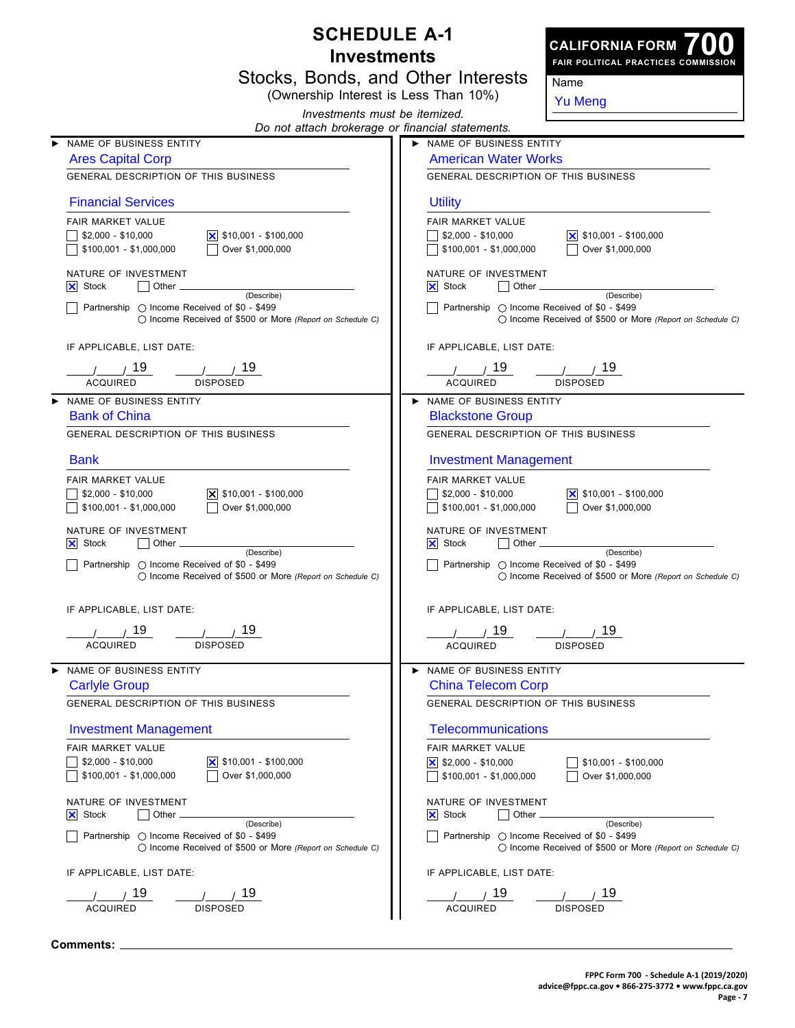| <b>SCHEDULE A-1</b><br><b>CALIFORNIA FORM</b> |                                                                                                                     |                                                                                                                        |  |  |  |
|-----------------------------------------------|---------------------------------------------------------------------------------------------------------------------|------------------------------------------------------------------------------------------------------------------------|--|--|--|
|                                               | <b>Investments</b>                                                                                                  | FAIR POLITICAL PRACTICES COMMISSION                                                                                    |  |  |  |
|                                               | Stocks, Bonds, and Other Interests                                                                                  | Name                                                                                                                   |  |  |  |
|                                               | (Ownership Interest is Less Than 10%)                                                                               | <b>Yu Meng</b>                                                                                                         |  |  |  |
|                                               | Investments must be itemized.<br>Do not attach brokerage or financial statements.                                   |                                                                                                                        |  |  |  |
|                                               | NAME OF BUSINESS ENTITY                                                                                             | NAME OF BUSINESS ENTITY                                                                                                |  |  |  |
|                                               | <b>Ares Capital Corp</b>                                                                                            | <b>American Water Works</b><br><b>GENERAL DESCRIPTION OF THIS BUSINESS</b><br><b>Utility</b>                           |  |  |  |
|                                               | <b>GENERAL DESCRIPTION OF THIS BUSINESS</b>                                                                         |                                                                                                                        |  |  |  |
|                                               | <b>Financial Services</b>                                                                                           |                                                                                                                        |  |  |  |
|                                               | FAIR MARKET VALUE                                                                                                   | <b>FAIR MARKET VALUE</b>                                                                                               |  |  |  |
|                                               | $$2,000 - $10,000$<br>\$100,001 - \$1,000,000<br>Over \$1,000,000                                                   | $\frac{1}{2}$ \$2,000 - \$10,000<br>$ \mathsf{x} $ \$10,001 - \$100,000<br>\$100,001 - \$1,000,000<br>Over \$1,000,000 |  |  |  |
|                                               | NATURE OF INVESTMENT<br>$ \mathsf{X} $ Stock<br>Other.                                                              | NATURE OF INVESTMENT<br>$ \mathsf{X} $ Stock<br>Other _                                                                |  |  |  |
|                                               | (Describe)<br>Partnership ◯ Income Received of \$0 - \$499                                                          | (Describe)<br>Partnership ◯ Income Received of \$0 - \$499                                                             |  |  |  |
|                                               | ○ Income Received of \$500 or More (Report on Schedule C)                                                           | ○ Income Received of \$500 or More (Report on Schedule C)                                                              |  |  |  |
|                                               | IF APPLICABLE, LIST DATE:                                                                                           | IF APPLICABLE, LIST DATE:                                                                                              |  |  |  |
|                                               | 19<br>19.                                                                                                           | 19<br>19                                                                                                               |  |  |  |
|                                               | <b>ACQUIRED</b><br><b>DISPOSED</b>                                                                                  | <b>ACQUIRED</b><br><b>DISPOSED</b>                                                                                     |  |  |  |
|                                               | NAME OF BUSINESS ENTITY<br><b>Bank of China</b>                                                                     | NAME OF BUSINESS ENTITY<br><b>Blackstone Group</b>                                                                     |  |  |  |
|                                               | <b>GENERAL DESCRIPTION OF THIS BUSINESS</b>                                                                         | <b>GENERAL DESCRIPTION OF THIS BUSINESS</b>                                                                            |  |  |  |
|                                               | <b>Bank</b>                                                                                                         | <b>Investment Management</b>                                                                                           |  |  |  |
|                                               | <b>FAIR MARKET VALUE</b>                                                                                            | <b>FAIR MARKET VALUE</b>                                                                                               |  |  |  |
|                                               | $$2,000 - $10,000$<br>$\vert \mathsf{x} \vert$ \$10,001 - \$100,000<br>Over \$1,000,000<br>\$100,001 - \$1,000,000  | $\frac{1}{2}$ \$2,000 - \$10,000<br>$ \mathsf{x} $ \$10,001 - \$100,000<br>Over \$1,000,000<br>\$100,001 - \$1,000,000 |  |  |  |
|                                               | NATURE OF INVESTMENT                                                                                                | NATURE OF INVESTMENT                                                                                                   |  |  |  |
|                                               | $ \mathsf{X} $ Stock<br>Other<br>(Describe)                                                                         | $ \mathsf{X} $ Stock<br>Other<br>(Describe)                                                                            |  |  |  |
|                                               | Partnership $\bigcirc$ Income Received of \$0 - \$499<br>() Income Received of \$500 or More (Report on Schedule C) | Partnership ◯ Income Received of \$0 - \$499<br>◯ Income Received of \$500 or More (Report on Schedule C)              |  |  |  |
|                                               | IF APPLICABLE, LIST DATE:                                                                                           | IF APPLICABLE, LIST DATE:                                                                                              |  |  |  |
|                                               | 19<br>19                                                                                                            | 19.<br>19                                                                                                              |  |  |  |
|                                               | <b>ACQUIRED</b><br><b>DISPOSED</b>                                                                                  | ACQUIRED<br><b>DISPOSED</b>                                                                                            |  |  |  |
|                                               | NAME OF BUSINESS ENTITY                                                                                             | NAME OF BUSINESS ENTITY                                                                                                |  |  |  |
|                                               | <b>Carlyle Group</b>                                                                                                | <b>China Telecom Corp</b>                                                                                              |  |  |  |
|                                               | GENERAL DESCRIPTION OF THIS BUSINESS                                                                                | GENERAL DESCRIPTION OF THIS BUSINESS                                                                                   |  |  |  |
|                                               | <b>Investment Management</b>                                                                                        | <b>Telecommunications</b>                                                                                              |  |  |  |
|                                               | FAIR MARKET VALUE                                                                                                   | FAIR MARKET VALUE                                                                                                      |  |  |  |
|                                               | $$2,000 - $10,000$<br>\$10,001 - \$100,000<br>\$100,001 - \$1,000,000<br>Over \$1,000,000                           | \$10,001 - \$100,000<br>$$100,001 - $1,000,000$<br>Over \$1,000,000                                                    |  |  |  |
|                                               | NATURE OF INVESTMENT                                                                                                | NATURE OF INVESTMENT                                                                                                   |  |  |  |
|                                               | $ \mathsf{X} $ Stock<br>Other.<br>(Describe)                                                                        | Other.<br>$ \mathsf{X} $ Stock<br>(Describe)                                                                           |  |  |  |
|                                               | Partnership ◯ Income Received of \$0 - \$499<br>◯ Income Received of \$500 or More (Report on Schedule C)           | Partnership ◯ Income Received of \$0 - \$499<br>◯ Income Received of \$500 or More (Report on Schedule C)              |  |  |  |
|                                               | IF APPLICABLE, LIST DATE:                                                                                           | IF APPLICABLE, LIST DATE:                                                                                              |  |  |  |
|                                               | 19                                                                                                                  | 19                                                                                                                     |  |  |  |
|                                               | <b>ACQUIRED</b><br><b>DISPOSED</b>                                                                                  | <b>ACQUIRED</b><br><b>DISPOSED</b>                                                                                     |  |  |  |

**Comments:**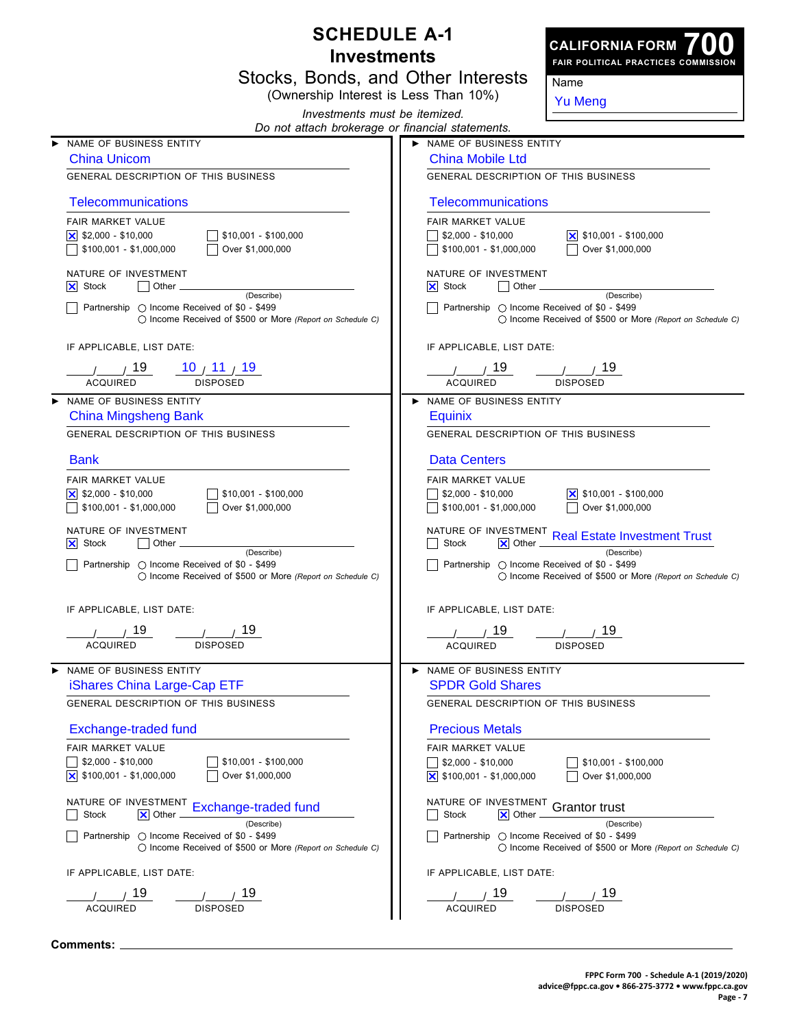| <b>SCHEDULE A-1</b> |                                                                                                                               |                                      | <b>CALIFORNIA FORM</b>                                                                      |                                                                         |  |  |
|---------------------|-------------------------------------------------------------------------------------------------------------------------------|--------------------------------------|---------------------------------------------------------------------------------------------|-------------------------------------------------------------------------|--|--|
|                     | <b>Investments</b>                                                                                                            |                                      |                                                                                             | FAIR POLITICAL PRACTICES COMMISSION                                     |  |  |
|                     | Stocks, Bonds, and Other Interests                                                                                            |                                      |                                                                                             | Name                                                                    |  |  |
|                     | (Ownership Interest is Less Than 10%)<br>Investments must be itemized.                                                        |                                      |                                                                                             | <b>Yu Meng</b>                                                          |  |  |
|                     | Do not attach brokerage or financial statements.                                                                              |                                      |                                                                                             |                                                                         |  |  |
|                     | NAME OF BUSINESS ENTITY                                                                                                       |                                      | NAME OF BUSINESS ENTITY                                                                     |                                                                         |  |  |
|                     | <b>China Unicom</b>                                                                                                           | <b>China Mobile Ltd</b>              |                                                                                             |                                                                         |  |  |
|                     | <b>GENERAL DESCRIPTION OF THIS BUSINESS</b>                                                                                   | GENERAL DESCRIPTION OF THIS BUSINESS |                                                                                             |                                                                         |  |  |
|                     | Telecommunications                                                                                                            |                                      | <b>Telecommunications</b>                                                                   |                                                                         |  |  |
|                     | FAIR MARKET VALUE<br>$ \mathsf{x} $ \$2,000 - \$10,000<br>$$10,001 - $100,000$<br>$$100,001 - $1,000,000$<br>Over \$1,000,000 |                                      | FAIR MARKET VALUE<br>$\frac{1}{2}$ \$2,000 - \$10,000<br>$\sqrt{ }$ \$100,001 - \$1,000,000 | <u> </u> × 510,001 - \$100,000<br>Over \$1,000,000                      |  |  |
|                     | NATURE OF INVESTMENT<br>$ \mathsf{X} $ Stock<br>Other                                                                         |                                      | NATURE OF INVESTMENT<br>$ \mathsf{X} $ Stock<br>Other.                                      |                                                                         |  |  |
|                     | (Describe)<br>Partnership ◯ Income Received of \$0 - \$499<br>◯ Income Received of \$500 or More (Report on Schedule C)       |                                      | Partnership ◯ Income Received of \$0 - \$499                                                | (Describe)<br>◯ Income Received of \$500 or More (Report on Schedule C) |  |  |
|                     | IF APPLICABLE, LIST DATE:                                                                                                     |                                      | IF APPLICABLE, LIST DATE:                                                                   |                                                                         |  |  |
|                     | 10 <sub>1</sub> 11 <sub>1</sub> 19<br>19                                                                                      |                                      | 19                                                                                          | 19                                                                      |  |  |
|                     | <b>ACQUIRED</b><br><b>DISPOSED</b>                                                                                            |                                      | <b>ACQUIRED</b>                                                                             | <b>DISPOSED</b>                                                         |  |  |
| ▶                   | NAME OF BUSINESS ENTITY<br><b>China Mingsheng Bank</b>                                                                        |                                      | > NAME OF BUSINESS ENTITY<br>Equinix                                                        |                                                                         |  |  |
|                     | <b>GENERAL DESCRIPTION OF THIS BUSINESS</b>                                                                                   |                                      | <b>GENERAL DESCRIPTION OF THIS BUSINESS</b>                                                 |                                                                         |  |  |
|                     | <b>Bank</b>                                                                                                                   |                                      | <b>Data Centers</b>                                                                         |                                                                         |  |  |
|                     | FAIR MARKET VALUE<br>$ \mathsf{x} $ \$2,000 - \$10,000<br>$$10,001 - $100,000$<br>$$100,001 - $1,000,000$<br>Over \$1,000,000 |                                      | FAIR MARKET VALUE<br>$\frac{1}{2}$ \$2,000 - \$10,000<br>$\sqrt{$100,001 - $1,000,000}$     | $ \mathsf{X} $ \$10,001 - \$100,000<br>Over \$1,000,000                 |  |  |
|                     | NATURE OF INVESTMENT<br>$ \mathsf{X} $ Stock<br>Other<br>(Describe)                                                           |                                      | <b>Stock</b><br>$ \mathsf{X} $ Other                                                        | NATURE OF INVESTMENT Real Estate Investment Trust<br>(Describe)         |  |  |
|                     | Partnership $\bigcirc$ Income Received of \$0 - \$499<br>◯ Income Received of \$500 or More (Report on Schedule C)            |                                      | Partnership ◯ Income Received of \$0 - \$499                                                | ◯ Income Received of \$500 or More (Report on Schedule C)               |  |  |
|                     | IF APPLICABLE, LIST DATE:                                                                                                     |                                      | IF APPLICABLE, LIST DATE:                                                                   |                                                                         |  |  |
|                     | 19<br>19<br>DISPOSED<br>ACQUIRED                                                                                              |                                      | 19<br><b>ACQUIRED</b>                                                                       | 19<br>DISPOSED                                                          |  |  |
| ▶                   | NAME OF BUSINESS ENTITY                                                                                                       |                                      | > NAME OF BUSINESS ENTITY                                                                   |                                                                         |  |  |
|                     | iShares China Large-Cap ETF<br><b>GENERAL DESCRIPTION OF THIS BUSINESS</b>                                                    |                                      | <b>SPDR Gold Shares</b><br>GENERAL DESCRIPTION OF THIS BUSINESS                             |                                                                         |  |  |
|                     | Exchange-traded fund                                                                                                          |                                      | <b>Precious Metals</b>                                                                      |                                                                         |  |  |
|                     | FAIR MARKET VALUE<br>\$2,000 - \$10,000<br>$$10,001 - $100,000$                                                               |                                      | <b>FAIR MARKET VALUE</b><br>$\frac{1}{2}$ \$2,000 - \$10,000                                |                                                                         |  |  |
|                     | $\vert$ \$100,001 - \$1,000,000<br>Over \$1,000,000                                                                           |                                      | $\overline{\mathsf{x}}$ \$100,001 - \$1,000,000                                             | \$10,001 - \$100,000<br>Over \$1,000,000                                |  |  |
|                     | NATURE OF INVESTMENT Exchange-traded fund<br>Stock<br><b>XI</b> Other<br>(Describe)                                           |                                      | NATURE OF INVESTMENT Grantor trust<br><b>Stock</b><br>$ \mathsf{X} $ Other                  |                                                                         |  |  |
|                     | Partnership ○ Income Received of \$0 - \$499<br>◯ Income Received of \$500 or More (Report on Schedule C)                     |                                      | Partnership ◯ Income Received of \$0 - \$499                                                | (Describe)<br>◯ Income Received of \$500 or More (Report on Schedule C) |  |  |
|                     | IF APPLICABLE, LIST DATE:                                                                                                     |                                      | IF APPLICABLE, LIST DATE:                                                                   |                                                                         |  |  |
|                     | 19                                                                                                                            |                                      | 19                                                                                          |                                                                         |  |  |
|                     | <b>ACQUIRED</b><br><b>DISPOSED</b>                                                                                            |                                      | <b>ACQUIRED</b>                                                                             | <b>DISPOSED</b>                                                         |  |  |

**Comments:**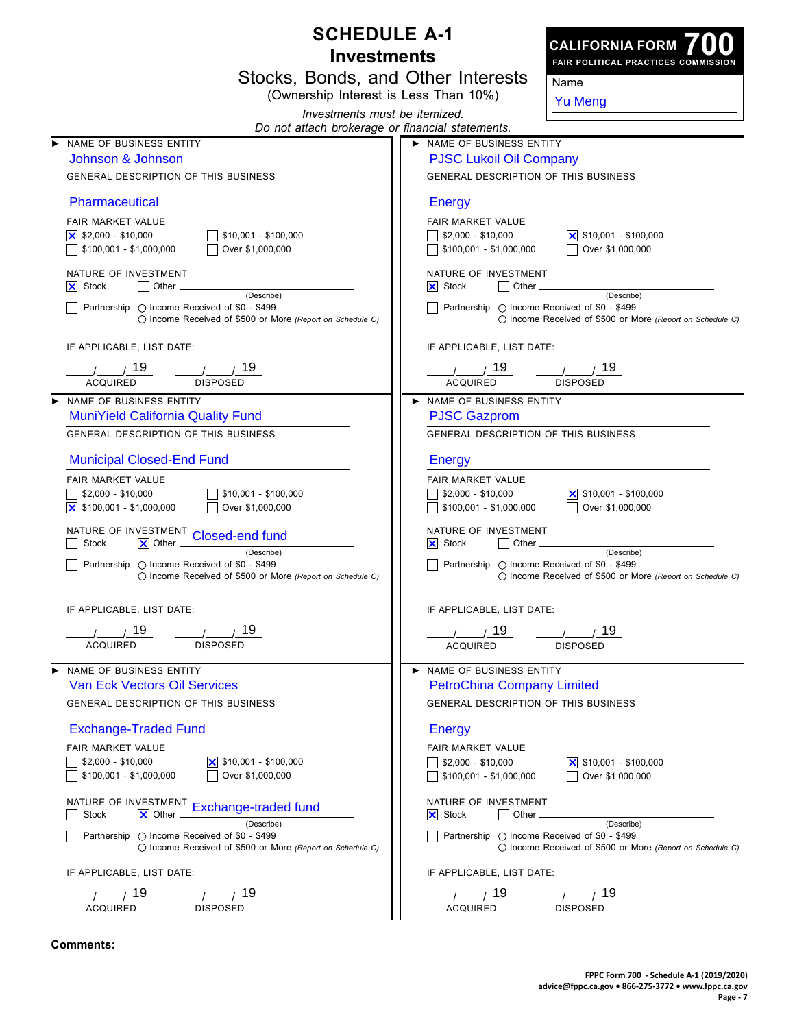| <b>SCHEDULE A-1</b><br><b>CALIFORNIA FORM</b> |                                                                                                                                        |                                                                                                                                                                |  |  |
|-----------------------------------------------|----------------------------------------------------------------------------------------------------------------------------------------|----------------------------------------------------------------------------------------------------------------------------------------------------------------|--|--|
|                                               | <b>Investments</b>                                                                                                                     | FAIR POLITICAL PRACTICES COMMISSION                                                                                                                            |  |  |
|                                               | Stocks, Bonds, and Other Interests                                                                                                     | Name                                                                                                                                                           |  |  |
|                                               | (Ownership Interest is Less Than 10%)<br>Investments must be itemized.                                                                 | <b>Yu Meng</b>                                                                                                                                                 |  |  |
|                                               | Do not attach brokerage or financial statements.                                                                                       |                                                                                                                                                                |  |  |
|                                               | NAME OF BUSINESS ENTITY<br>Johnson & Johnson                                                                                           | NAME OF BUSINESS ENTITY                                                                                                                                        |  |  |
|                                               | <b>GENERAL DESCRIPTION OF THIS BUSINESS</b>                                                                                            | <b>PJSC Lukoil Oil Company</b><br><b>GENERAL DESCRIPTION OF THIS BUSINESS</b>                                                                                  |  |  |
|                                               |                                                                                                                                        |                                                                                                                                                                |  |  |
|                                               | Pharmaceutical                                                                                                                         | <b>Energy</b>                                                                                                                                                  |  |  |
|                                               | FAIR MARKET VALUE<br>$ \mathsf{x} $ \$2,000 - \$10,000<br>\$10,001 - \$100,000<br>$$100,001 - $1,000,000$<br>Over \$1,000,000          | FAIR MARKET VALUE<br>$\frac{1}{2}$ \$2,000 - \$10,000<br>$ \mathsf{x} $ \$10,001 - \$100,000<br>$\sqrt{ }$ \$100,001 - \$1,000,000<br>Over \$1,000,000         |  |  |
|                                               | NATURE OF INVESTMENT<br>$ \mathsf{X} $ Stock<br>Other.                                                                                 | NATURE OF INVESTMENT<br>$\vert x \vert$ Stock<br>Other.                                                                                                        |  |  |
|                                               | (Describe)<br>Partnership ◯ Income Received of \$0 - \$499<br>◯ Income Received of \$500 or More (Report on Schedule C)                | (Describe)<br>Partnership ◯ Income Received of \$0 - \$499<br>○ Income Received of \$500 or More (Report on Schedule C)                                        |  |  |
|                                               | IF APPLICABLE, LIST DATE:                                                                                                              | IF APPLICABLE, LIST DATE:                                                                                                                                      |  |  |
|                                               | 19<br>19                                                                                                                               | 19<br>19                                                                                                                                                       |  |  |
|                                               | <b>ACQUIRED</b><br><b>DISPOSED</b><br>NAME OF BUSINESS ENTITY                                                                          | <b>ACQUIRED</b><br><b>DISPOSED</b><br>NAME OF BUSINESS ENTITY                                                                                                  |  |  |
|                                               | <b>MuniYield California Quality Fund</b>                                                                                               | <b>PJSC Gazprom</b>                                                                                                                                            |  |  |
|                                               | <b>GENERAL DESCRIPTION OF THIS BUSINESS</b>                                                                                            | <b>GENERAL DESCRIPTION OF THIS BUSINESS</b>                                                                                                                    |  |  |
|                                               | <b>Municipal Closed-End Fund</b>                                                                                                       | <b>Energy</b>                                                                                                                                                  |  |  |
|                                               | <b>FAIR MARKET VALUE</b><br>$$2,000 - $10,000$<br>\$10,001 - \$100,000<br>$\boxed{\times}$ \$100,001 - \$1,000,000<br>Over \$1,000,000 | <b>FAIR MARKET VALUE</b><br>$\frac{1}{2}$ \$2,000 - \$10,000<br><u> </u> ×   \$10,001 - \$100,000<br>Over \$1,000,000<br>$\frac{1}{2}$ \$100,001 - \$1,000,000 |  |  |
|                                               | NATURE OF INVESTMENT<br>Closed-end fund<br>Stock<br>$ \mathsf{X} $ Other                                                               | NATURE OF INVESTMENT<br>$\vert x \vert$ Stock<br>Other                                                                                                         |  |  |
|                                               | (Describe)<br>Partnership ◯ Income Received of \$0 - \$499<br>◯ Income Received of \$500 or More (Report on Schedule C)                | (Describe)<br>Partnership ◯ Income Received of \$0 - \$499<br>◯ Income Received of \$500 or More (Report on Schedule C)                                        |  |  |
|                                               | IF APPLICABLE, LIST DATE:                                                                                                              | IF APPLICABLE, LIST DATE:                                                                                                                                      |  |  |
|                                               | 19<br>19<br><b>DISPOSED</b><br>ACQUIRED                                                                                                | 19.<br>19<br><b>ACQUIRED</b><br>DISPOSED                                                                                                                       |  |  |
|                                               | NAME OF BUSINESS ENTITY                                                                                                                | NAME OF BUSINESS ENTITY                                                                                                                                        |  |  |
|                                               | <b>Van Eck Vectors Oil Services</b><br>GENERAL DESCRIPTION OF THIS BUSINESS                                                            | <b>PetroChina Company Limited</b><br><b>GENERAL DESCRIPTION OF THIS BUSINESS</b>                                                                               |  |  |
|                                               | <b>Exchange-Traded Fund</b>                                                                                                            | <b>Energy</b>                                                                                                                                                  |  |  |
|                                               | FAIR MARKET VALUE                                                                                                                      | FAIR MARKET VALUE                                                                                                                                              |  |  |
|                                               | $\overline{\mathsf{x}}$ \$10,001 - \$100,000<br>$$2,000 - $10,000$<br>$$100,001 - $1,000,000$<br>Over \$1,000,000                      | $\overline{\times}$ \$10,001 - \$100,000<br>$$2,000 - $10,000$<br>Over \$1,000,000<br>\$100,001 - \$1,000,000                                                  |  |  |
|                                               | NATURE OF INVESTMENT Exchange-traded fund<br>Stock<br><b>XI</b> Other                                                                  | NATURE OF INVESTMENT<br>$ \mathsf{X} $ Stock<br>Other                                                                                                          |  |  |
|                                               | (Describe)<br>Partnership ◯ Income Received of \$0 - \$499<br>◯ Income Received of \$500 or More (Report on Schedule C)                | (Describe)<br>Partnership ◯ Income Received of \$0 - \$499<br>◯ Income Received of \$500 or More (Report on Schedule C)                                        |  |  |
|                                               | IF APPLICABLE, LIST DATE:                                                                                                              | IF APPLICABLE, LIST DATE:                                                                                                                                      |  |  |
|                                               | 19<br><b>ACQUIRED</b><br><b>DISPOSED</b>                                                                                               | 19<br>19<br><b>ACQUIRED</b><br><b>DISPOSED</b>                                                                                                                 |  |  |

**Comments:**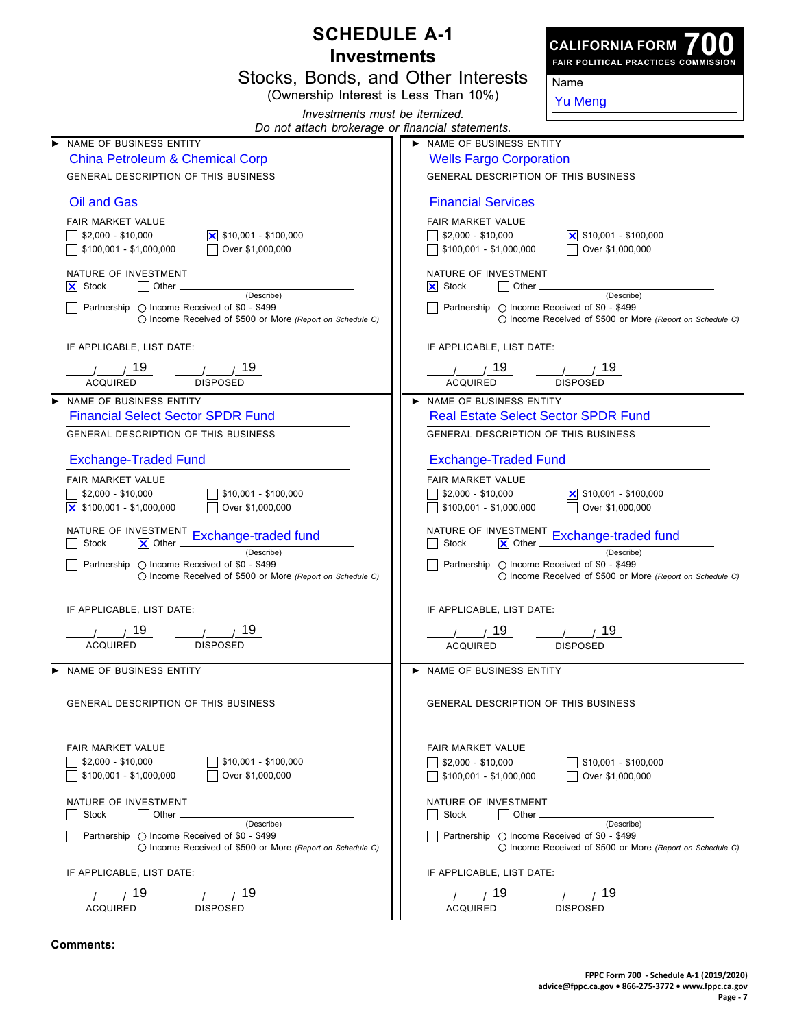| <b>SCHEDULE A-1</b> |                                                                                                                                  |  |                                                                               |                                                                         |
|---------------------|----------------------------------------------------------------------------------------------------------------------------------|--|-------------------------------------------------------------------------------|-------------------------------------------------------------------------|
|                     | <b>Investments</b>                                                                                                               |  |                                                                               | <b>CALIFORNIA FORM</b><br>FAIR POLITICAL PRACTICES COMMISSION           |
|                     | Stocks, Bonds, and Other Interests                                                                                               |  |                                                                               | Name                                                                    |
|                     | (Ownership Interest is Less Than 10%)                                                                                            |  |                                                                               | <b>Yu Meng</b>                                                          |
|                     | Investments must be itemized.                                                                                                    |  |                                                                               |                                                                         |
|                     | Do not attach brokerage or financial statements.                                                                                 |  |                                                                               |                                                                         |
|                     | NAME OF BUSINESS ENTITY<br><b>China Petroleum &amp; Chemical Corp</b>                                                            |  | > NAME OF BUSINESS ENTITY<br><b>Wells Fargo Corporation</b>                   |                                                                         |
|                     | GENERAL DESCRIPTION OF THIS BUSINESS                                                                                             |  | <b>GENERAL DESCRIPTION OF THIS BUSINESS</b>                                   |                                                                         |
|                     | Oil and Gas                                                                                                                      |  | <b>Financial Services</b>                                                     |                                                                         |
|                     | FAIR MARKET VALUE                                                                                                                |  | FAIR MARKET VALUE                                                             |                                                                         |
|                     | $\vert$ \$10,001 - \$100,000<br>$$2,000 - $10,000$<br>Over \$1,000,000<br>\$100,001 - \$1,000,000                                |  | $\frac{1}{2}$ \$2,000 - \$10,000<br>\$100,001 - \$1,000,000                   | $\vert$ \$10,001 - \$100,000<br>Over \$1,000,000                        |
|                     | NATURE OF INVESTMENT<br>Other<br>$ \mathsf{X} $ Stock                                                                            |  | NATURE OF INVESTMENT<br>$\vert$ $\vert$ Other $\vert$<br>$ \mathsf{X} $ Stock |                                                                         |
|                     | (Describe)<br>Partnership ◯ Income Received of \$0 - \$499<br>◯ Income Received of \$500 or More (Report on Schedule C)          |  | Partnership ◯ Income Received of \$0 - \$499                                  | (Describe)<br>◯ Income Received of \$500 or More (Report on Schedule C) |
|                     | IF APPLICABLE, LIST DATE:                                                                                                        |  | IF APPLICABLE, LIST DATE:                                                     |                                                                         |
|                     | 19<br><b>ACQUIRED</b><br><b>DISPOSED</b>                                                                                         |  | 19<br><b>ACQUIRED</b>                                                         | <b>DISPOSED</b>                                                         |
|                     | NAME OF BUSINESS ENTITY                                                                                                          |  | NAME OF BUSINESS ENTITY                                                       |                                                                         |
|                     | <b>Financial Select Sector SPDR Fund</b>                                                                                         |  | <b>Real Estate Select Sector SPDR Fund</b>                                    |                                                                         |
|                     | GENERAL DESCRIPTION OF THIS BUSINESS                                                                                             |  | GENERAL DESCRIPTION OF THIS BUSINESS                                          |                                                                         |
|                     | <b>Exchange-Traded Fund</b>                                                                                                      |  | <b>Exchange-Traded Fund</b>                                                   |                                                                         |
|                     | FAIR MARKET VALUE                                                                                                                |  | FAIR MARKET VALUE                                                             |                                                                         |
|                     | $$2,000 - $10,000$<br>$$10,001 - $100,000$<br>$\overline{\mathsf{x}}$ \$100,001 - \$1,000,000<br>Over \$1,000,000                |  | $$2,000 - $10,000$<br>$$100,001 - $1,000,000$                                 | <u> </u> ×   \$10,001 - \$100,000<br>Over \$1,000,000                   |
|                     | NATURE OF INVESTMENT Exchange-traded fund<br>Stock<br>$ \mathsf{X} $ Other                                                       |  | NATURE OF INVESTMENT<br>Stock<br>$ \mathsf{X} $ Other                         | Exchange-traded fund                                                    |
|                     | (Describe)<br>Partnership ◯ Income Received of \$0 - \$499<br>() Income Received of \$500 or More (Report on Schedule C)         |  | Partnership ◯ Income Received of \$0 - \$499                                  | (Describe)<br>◯ Income Received of \$500 or More (Report on Schedule C) |
|                     | IF APPLICABLE, LIST DATE:                                                                                                        |  | IF APPLICABLE, LIST DATE:                                                     |                                                                         |
|                     | 19                                                                                                                               |  | 7 19                                                                          | 7 19∍                                                                   |
|                     | <b>ACQUIRED</b><br><b>DISPOSED</b>                                                                                               |  | <b>ACQUIRED</b>                                                               | <b>DISPOSED</b>                                                         |
|                     | NAME OF BUSINESS ENTITY                                                                                                          |  | NAME OF BUSINESS ENTITY                                                       |                                                                         |
|                     | GENERAL DESCRIPTION OF THIS BUSINESS                                                                                             |  | GENERAL DESCRIPTION OF THIS BUSINESS                                          |                                                                         |
|                     | FAIR MARKET VALUE                                                                                                                |  | <b>FAIR MARKET VALUE</b>                                                      |                                                                         |
|                     | \$10,001 - \$100,000<br>$$2,000 - $10,000$                                                                                       |  | $\frac{1}{2}$ \$2,000 - \$10,000                                              | $$10,001 - $100,000$                                                    |
|                     | \$100,001 - \$1,000,000<br>Over \$1,000,000                                                                                      |  | $\frac{1}{2}$ \$100,001 - \$1,000,000                                         | Over \$1,000,000                                                        |
|                     | NATURE OF INVESTMENT<br>Stock<br>Other                                                                                           |  | NATURE OF INVESTMENT<br>Stock<br>Other <sub>-</sub>                           |                                                                         |
|                     | (Describe)<br>Partnership $\bigcirc$ Income Received of \$0 - \$499<br>◯ Income Received of \$500 or More (Report on Schedule C) |  | Partnership $\bigcirc$ Income Received of \$0 - \$499                         | (Describe)<br>◯ Income Received of \$500 or More (Report on Schedule C) |
|                     | IF APPLICABLE, LIST DATE:                                                                                                        |  | IF APPLICABLE, LIST DATE:                                                     |                                                                         |
|                     | 19                                                                                                                               |  | 19                                                                            | 19                                                                      |
|                     | <b>ACQUIRED</b><br><b>DISPOSED</b>                                                                                               |  | <b>ACQUIRED</b>                                                               | <b>DISPOSED</b>                                                         |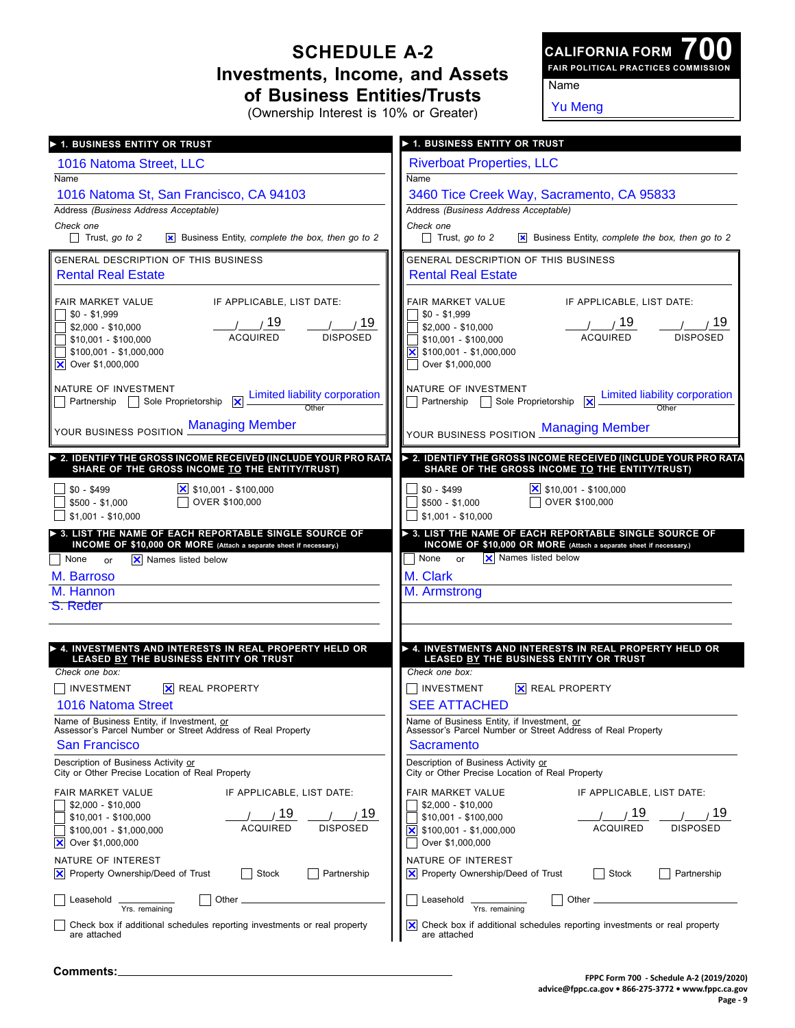### **SCHEDULE A-2 Investments, Income, and Assets of Business Entities/Trusts**

**700 FAIR POLITICAL PRACTICES COMMISSION CALIFORNIA FORM**

(Ownership Interest is 10% or Greater)

Yu Meng

Name

| ▶ 1. BUSINESS ENTITY OR TRUST                                                                                                | ▶ 1. BUSINESS ENTITY OR TRUST                                                                                                               |
|------------------------------------------------------------------------------------------------------------------------------|---------------------------------------------------------------------------------------------------------------------------------------------|
| 1016 Natoma Street, LLC                                                                                                      | <b>Riverboat Properties, LLC</b>                                                                                                            |
| Name                                                                                                                         | Name                                                                                                                                        |
| 1016 Natoma St, San Francisco, CA 94103                                                                                      | 3460 Tice Creek Way, Sacramento, CA 95833                                                                                                   |
| Address (Business Address Acceptable)                                                                                        | Address (Business Address Acceptable)                                                                                                       |
| Check one<br>$\Box$ Trust, go to 2<br><b>x</b> Business Entity, complete the box, then go to 2                               | Check one<br>Trust, go to 2<br><b>x</b> Business Entity, complete the box, then go to 2                                                     |
|                                                                                                                              |                                                                                                                                             |
| GENERAL DESCRIPTION OF THIS BUSINESS                                                                                         | GENERAL DESCRIPTION OF THIS BUSINESS                                                                                                        |
| <b>Rental Real Estate</b>                                                                                                    | <b>Rental Real Estate</b>                                                                                                                   |
| IF APPLICABLE, LIST DATE:<br>FAIR MARKET VALUE                                                                               | IF APPLICABLE, LIST DATE:<br>FAIR MARKET VALUE                                                                                              |
| $\frac{1}{2}$ \$0 - \$1,999<br>\$2,000 - \$10,000                                                                            | $$0 - $1,999$<br>\$2,000 - \$10,000                                                                                                         |
| $\frac{1}{\sqrt{19}}$ $\frac{19}{\sqrt{19}}$ $\frac{1}{\sqrt{19}}$<br>\$10,001 - \$100,000                                   | $\frac{1}{\sqrt{19}}$ $\frac{19}{\sqrt{19}}$ $\frac{1}{\sqrt{19}}$<br>\$10,001 - \$100,000                                                  |
| $\frac{1}{2}$ \$100,001 - \$1,000,000                                                                                        | $\vert$ \$100,001 - \$1,000,000                                                                                                             |
| <b>X</b> Over \$1,000,000                                                                                                    | Over \$1,000,000                                                                                                                            |
| NATURE OF INVESTMENT                                                                                                         | NATURE OF INVESTMENT                                                                                                                        |
| NATURE OF INVESTMENT<br>Dentership D Sole Proprietorship X Dimited liability corporation                                     | THE OF INVESTMENT Sole Proprietorship $\boxed{X}$ Limited liability corporation                                                             |
| YOUR BUSINESS POSITION Managing Member                                                                                       | YOUR BUSINESS POSITION Managing Member                                                                                                      |
|                                                                                                                              |                                                                                                                                             |
| > 2. IDENTIFY THE GROSS INCOME RECEIVED (INCLUDE YOUR PRO RATA<br>SHARE OF THE GROSS INCOME TO THE ENTITY/TRUST)             | > 2. IDENTIFY THE GROSS INCOME RECEIVED (INCLUDE YOUR PRO RATA<br>SHARE OF THE GROSS INCOME TO THE ENTITY/TRUST)                            |
| $$0 - $499$                                                                                                                  | $$0 - $499$<br>$\frac{\times}{\times}$ \$10,001 - \$100,000                                                                                 |
| OVER \$100,000<br>\$500 - \$1,000                                                                                            | OVER \$100,000<br>\$500 - \$1.000                                                                                                           |
| $$1,001 - $10,000$                                                                                                           | $$1,001 - $10,000$                                                                                                                          |
| > 3. LIST THE NAME OF EACH REPORTABLE SINGLE SOURCE OF<br>INCOME OF \$10,000 OR MORE (Attach a separate sheet if necessary.) | $\triangleright$ 3. LIST THE NAME OF EACH REPORTABLE SINGLE SOURCE OF<br>INCOME OF \$10,000 OR MORE (Attach a separate sheet if necessary.) |
| X Names listed below<br>None or                                                                                              | X Names listed below<br>None or                                                                                                             |
| M. Barroso                                                                                                                   | M. Clark                                                                                                                                    |
| M. Hannon                                                                                                                    | M. Armstrong                                                                                                                                |
| <b>S. Reder</b>                                                                                                              |                                                                                                                                             |
|                                                                                                                              |                                                                                                                                             |
| ► 4. INVESTMENTS AND INTERESTS IN REAL PROPERTY HELD OR                                                                      | ▶ 4. INVESTMENTS AND INTERESTS IN REAL PROPERTY HELD OR                                                                                     |
| LEASED BY THE BUSINESS ENTITY OR TRUST<br>Check one box:                                                                     | LEASED BY THE BUSINESS ENTITY OR TRUST<br>Check one box:                                                                                    |
| $\sqcap$ investment<br><b>X</b> REAL PROPERTY                                                                                | INVESTMENT<br>X REAL PROPERTY                                                                                                               |
| 1016 Natoma Street                                                                                                           | <b>SEE ATTACHED</b>                                                                                                                         |
| Name of Business Entity, if Investment, or                                                                                   | Name of Business Entity, if Investment, or                                                                                                  |
| Assessor's Parcel Number or Street Address of Real Property<br>San Francisco                                                 | Assessor's Parcel Number or Street Address of Real Property                                                                                 |
| Description of Business Activity or                                                                                          | Sacramento<br>Description of Business Activity or                                                                                           |
| City or Other Precise Location of Real Property                                                                              | City or Other Precise Location of Real Property                                                                                             |
| FAIR MARKET VALUE<br>IF APPLICABLE, LIST DATE:                                                                               | FAIR MARKET VALUE<br>IF APPLICABLE, LIST DATE:                                                                                              |
| $$2,000 - $10,000$<br>19<br>19                                                                                               | $$2,000 - $10,000$<br>19<br>19                                                                                                              |
| \$10.001 - \$100.000<br><b>ACQUIRED</b><br><b>DISPOSED</b><br>\$100,001 - \$1,000,000                                        | \$10,001 - \$100,000<br>ACQUIRED<br><b>DISPOSED</b><br>×<br>\$100,001 - \$1,000,000                                                         |
| <b>X</b> Over \$1,000,000                                                                                                    | Over \$1,000,000                                                                                                                            |
| NATURE OF INTEREST                                                                                                           | NATURE OF INTEREST                                                                                                                          |
| $ \mathsf{X} $ Property Ownership/Deed of Trust<br>Partnership<br>Stock                                                      | <b>X</b> Property Ownership/Deed of Trust<br>Stock<br>Partnership                                                                           |
| Other<br>Leasehold                                                                                                           | Other<br>Leasehold                                                                                                                          |
| Yrs. remaining                                                                                                               | Yrs. remaining                                                                                                                              |
| Check box if additional schedules reporting investments or real property<br>are attached                                     | ×l<br>Check box if additional schedules reporting investments or real property<br>are attached                                              |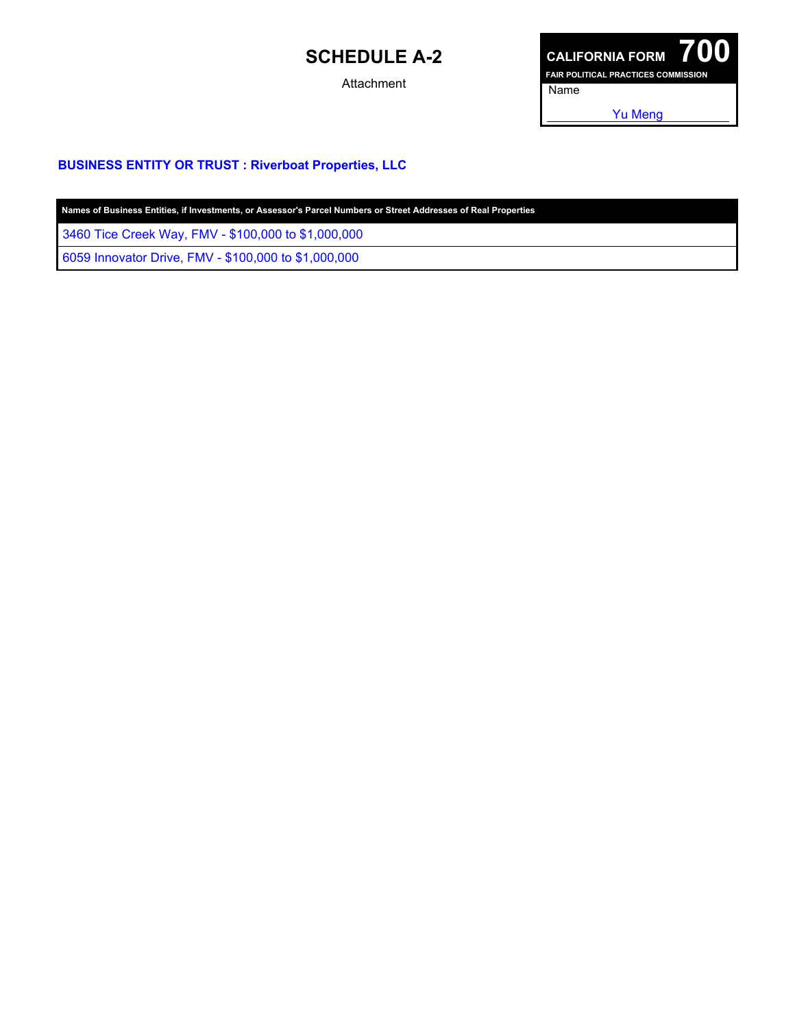# **SCHEDULE A-2**

Attachment



#### **BUSINESS ENTITY OR TRUST : Riverboat Properties, LLC**

3460 Tice Creek Way, FMV - \$100,000 to \$1,000,000

6059 Innovator Drive, FMV - \$100,000 to \$1,000,000